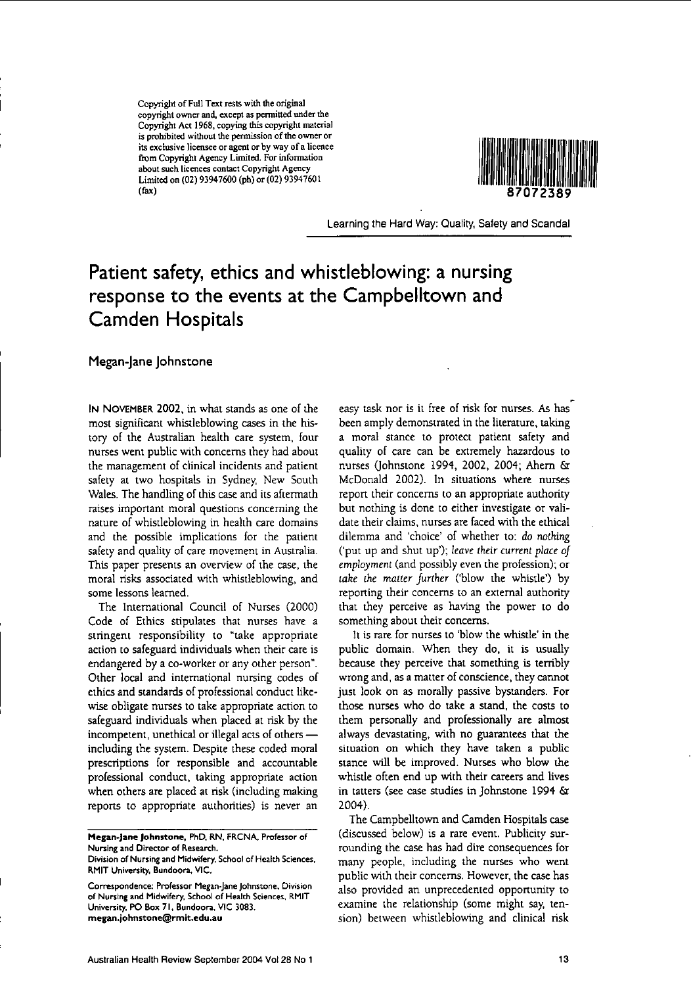Copyright of Full Text rests with the original **copyright ownerand, exceptas** permitted**under the Copyright Act 1968,copyingthis copyright material is** prohibited without the permission of the owner or **its exclusivelicenseeoragentorby wayof a licence from Copyright AgencyLimited. Forinformation aboutsuchlicencescontact Copyright Agency** Limitedon (02) 93947600 (ph) or (02) 93947601 (fax)



Learning the Hard Way: Quality, Safety and Scandal

# **Patient safety, ethics and whistleblowing: a nursing response to the events at the Campbelltown and Camden Hospitals**

**Megan-Jane Johnstone**

**IN** NOVEMBER 2002, in what stands as one of the most significant whistleblowing cases in the history of the Australian health care system, four nurses went public with concerns they had about the management of clinical incidents and patient safety at two hospitals in Sydney, New South Wales. The handling of this case and its aftermath **raises important moral questions concerning the** nature of whistleblowing in health care domains and the possible implications for the patient safety and quality of care movement in Australia. This paper presents an overview of the case, the moral risks associated with whistleblowing, and some lessons learned.

The International Council of Nurses (2000) Code of Ethics stipulates that nurses have a stringent responsibility to "take appropriate action to safeguard individuals when their care is endangered by a eo-worker or any other person". Other local and international nursing codes of ethics and standards of professional conduct likewise obligate nurses to take appropriate action to safeguard individuals when placed at risk by the incompetent, unethical or illegal acts of others including the system. Despite these coded moral prescriptions for responsible and accountable professional conduct, taking appropriate action when others are placed at risk (including making reports to appropriate authorities) is never an

easy task nor is it free of risk for nurses. As has been amply demonstrated in the literature, taking a moral stance to protect patient safety and quality of care can be extremely hazardous to nurses (johnstone 1994, 2002, 2004; Ahern & McDonald 2002). In situations where nurses report their concerns to an appropriate authority but nothing is done to either investigate or validate their claims, nurses are faced with the ethical dilemma and 'choice' of whether to: do *nothing* ('put up and shut up'); leave their *current place of employment* (and possibly even the profession); or *take* the *matter further* ('blow the whistle') by **reporting their concerns to an external** authority that they perceive as having the power to do something about their concerns.

It is rare for nurses to 'blow the whistle' in the public domain. When they do, it is usually because they perceive that something is terribly **wrongand, asa matter of conscience, theycannot** just look on as morally passive bystanders. For those nurses who do take a stand, the costs to them personally and professionally are almost always devastating, with no guarantees that the situation on which they have taken a public stance will be improved. Nurses who blow the whistle often end up with their careers and lives in tatters (see case studies in ]ohnstone 1994 & 2004).

The Campbelltown and Camden Hospitals case (discussed below) is a rare event. Publicity surrounding the case has had dire consequences for many people, including the nurses who went public with their concerns. However, the case has also provided an unprecedented opportunity to examine the relationship (some might say, tension) between whistleblowing and clinical risk

Megan~Jane **Johnstone, PhD. RN. FReNA, Professor of Nursing and Director of Research.**

**Division of Nursing andMidwifery. School of HealthSciences. RMIT University, Bundoora, VIC.**

**Correspondence: Professor Megan-Jane Johnstone, Division of Nursing andMidwifery. School of HealthSciences. RMIT University. PO Box 71,** Bundccra, **vie 3083. megan.johnstone@**r **mit.edu.au**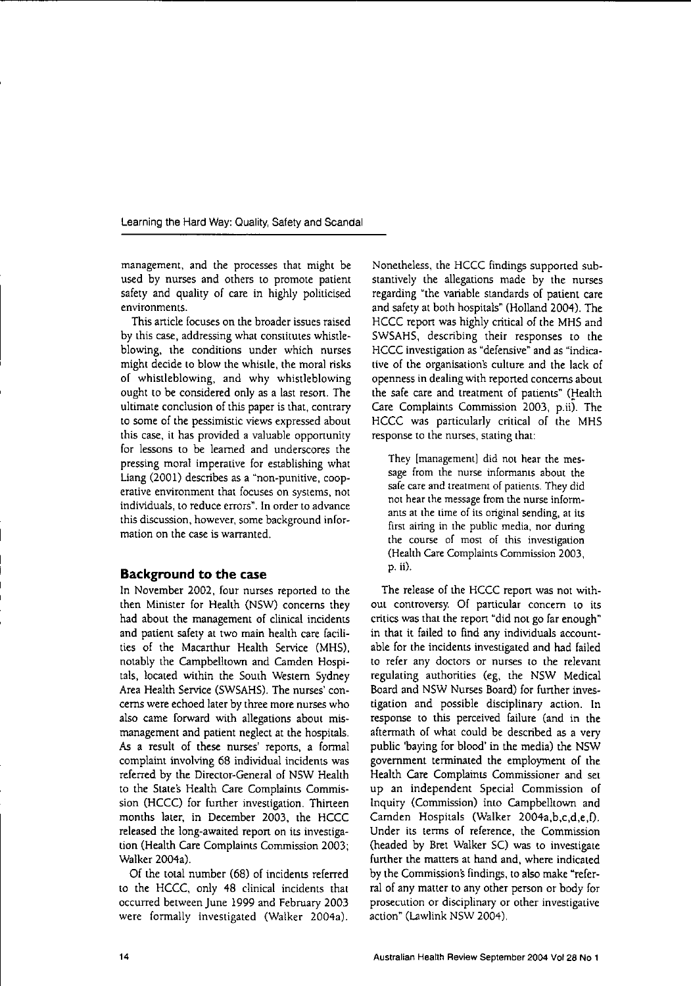**management, and the processes that might be** used by nurses and others to promote patient safety and quality of care in highly politicised **environments.**

This article focuses on the broader issues raised by this case, addressing what constitutes whistleblowing, the conditions under which nurses might decide to blow the whistle, the moral risks of whistleblowing, and why whistleblowing ought to be considered only as a last reson. The ultimate conclusion of this paper is that, contrary to some of the pessimistic views expressed about this case, it has provided a valuable opportunity for lessons to be learned and underscores the pressing moral imperative for establishing what Liang (2001) describes as a "non-punitive, coop**erative environment that focuses on systems, not** individuals, to reduce errors". In order to advance **this discussion, however, some background information on the case is warranted.**

#### **Background to the case**

In November 2002, four nurses reponed to the then Minister for Health (NSW) concerns they had about the management of clinical incidents and patient safety at two main health care facilities of the Macanhur Health Service (MHS), notably the Campbelltown and Camden Hospitals, located within the South Western Sydney Area Health Service (SWSAHS). The nurses' concerns were echoed later by three more nurses who also came forward with allegations about mismanagement and patient neglect at the hospitals. As a result of these nurses' reports, a formal complaint involving 68 individual incidents was referred by the Director-General of NSW Health to the State's Health Care Complaints Commission (HCCC) for further investigation. Thirteen months later, in December 2003, the HCCC released the long-awaited report on its investigation (Health Care Complaints Commission 2003; Walker 2004a).

Of the total number (68) of incidents referred to the HCCC, only 48 clinical incidents that occurred between June 1999 and February 2003 were formally investigated (Walker 2004a). Nonetheless, the HCCC findings supported substantively the allegations made by the nurses regarding "the variable standards of patient care and safety at both hospitals" (Holland 2004). The HCCC report was highly critical of the MHS and SWSAHS, describing their responses to the HCCC investigation as "defensive" and as "indicative of the organisations culture and the lack of openness in dealing with reported concerns about the safe care and treatment of patients" (Health Care Complaints Commission 2003, p.ii). The HCCC was particularly critical of the MHS response to the nurses, stating that:

They [management] did not hear the mes**sage from the nurse informants about the safe careand treatment of patients.They did not hear the message from the nurse informants at the time of its original sending, at its first airing in the public media, nor during the course of most of this investigation** (Health Care Complaints Commission 2003, p. ii).

The release of the HCCC report was not with-**Oul controversy. or panicular concern to its** critics was that the repon "did not go far enough" in that it failed to find any individuals accountable for the incidents investigated and had failed **to refer any doctors or nurses to the relevant** regulating authorities (eg, the NSW Medical Board and NSW Nurses Board) for funher investigation and possible disciplinary action. In response to this perceived failure (and in the aftermath of what could be described as a very public 'baying for blood' in the media) the NSW government terminated the employment of the Health Care Complaints Commissioner and set up an independent Special Commission of Inquiry (Commission) into Campbelltown and Camden Hospitals (Walker 2004a,b,c,d,e,O. Under its terms of reference, the Commission (headed by Bret Walker SC) was to investigate funher the matters at hand and, where indicated by the Commission's findings, to also make "referral of any matter to any other person or body for **prosecution or** disciplinary **or other investigative** action" (Lawlink NSW 2004).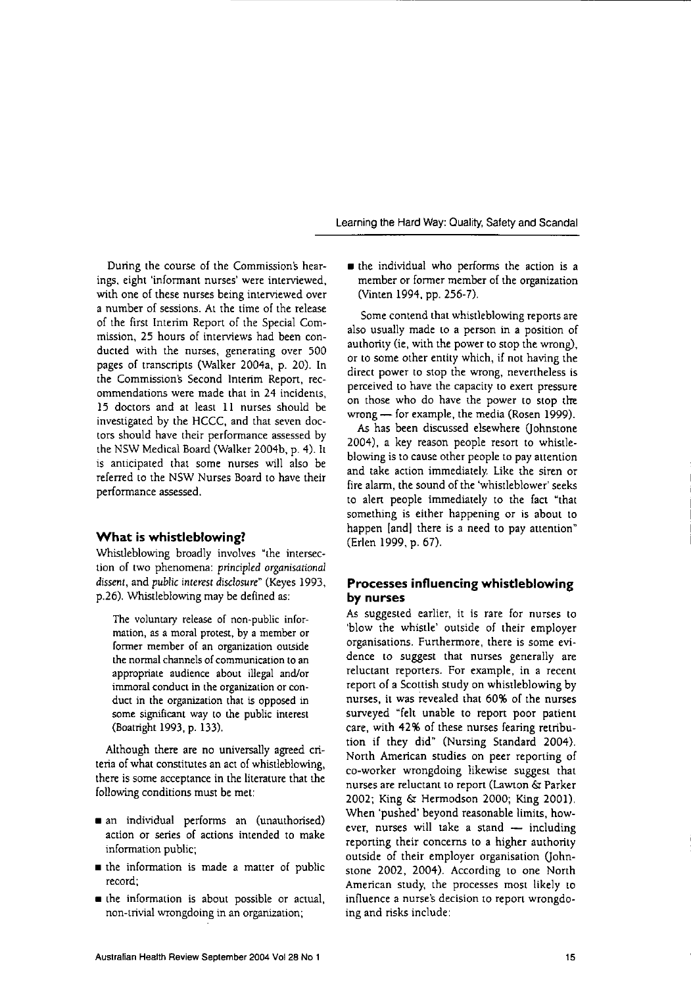During the course of the Commissions hear**ings, eight 'informant nurses' were interviewed,** with one of these nurses being interviewed over a number of sessions. At the time of the release of the first Interim Report of the Special Commission, 25 hours of interviews had been conducted with the nurses, generating over 500 pages of transcripts (Walker 2004a, p. 20). In the Commission's Second Interim Report, rec**ommendations were made that in 24 incidents,** 15 doctors and at least II nurses should be investigated by the HCCC, and that seven doctors should have their performance assessed by the NSW Medical Board (Walker 2004b, p. 4). It is anticipated that some nurses will also be referred to the NSW Nurses Board to have their performance assessed.

# **What is whistleblowing?**

Whistleblowing broadly involves "the intersection of two phenomena: principled *organisational dissent,* and public *interest disclosure"* (Keyes 1993, p.26). Whistleblowing may be defined as:

**The voluntary release of non-public information, as a moral protest, by a member or former member of an organization outside the** normal channels of communication to an appropriate audience about illegal and/or **immoral conduct in the organization or con**duct in the organization that is opposed in **some significant way to the public imerest** (Boatright 1993, p. 133).

Although there are no universally agreed criteria of what constitutes an act of whistleblowing, there is some acceptance in the literature that the following conditions must be met:

- an individual performs an (unauthorised) **action or series of actions intended to make** information public;
- $\blacksquare$  the information is made a matter of public record;
- **the information is about possible or actual, non-trivial wrongdoing in an organization;**

• the individual who performs the action is a member or former member of the organization (Vinten 1994, pp. 256-7).

Some contend that whistleblowing reports are also usually made to a person in a position of authority (ie, with the power to stop the wrong), or to some other entity which, if not having the direct power to stop the wrong, nevertheless is perceived to have the capacity to exert pressure on those who do have the power to stop the wrong - for example, the media (Rosen 1999).

As has been discussed elsewhere (lohnstone 2004), a key reason people resort to whistleblowing is to cause other people to pay attention and take action immediately. Like the siren or fire alarm, the sound of the 'whistleblower' seeks to alert people immediately to the fact "that something is either happening or is about to happen [and] there is a need to pay attention" (Erlen 1999, p. 67).

# **Processes influencing whistleblowing by nurses**

**As suggested earlier, it is rare for nurses to** 'blow the whistle' outside of their employer **organisations. Furthermore. there is some evi**dence to suggest that nurses generally are **reluctant reporters. For example, in a recent** report of a Scottish study on whistleblowing by nurses, it was revealed that 60% of the nurses surveyed "felt unable to report poor patient care, with 42% of these nurses fearing retribution if they did" (Nursing Standard 2004). North American studies on peer reporting of eo-worker wrongdoing likewise suggest that nurses are reluctant to report (Lawton & Parker 2002; King & Hermodson 2000; King 2001). When 'pushed' beyond reasonable limits, however, nurses will take a stand  $-$  including reporting their concerns to a higher authority outside of their employer organisation (johnstone 2002, 2004). According to one North American study, the processes most likely to **influence a nurse's decision to report wrongdo**ing and risks include: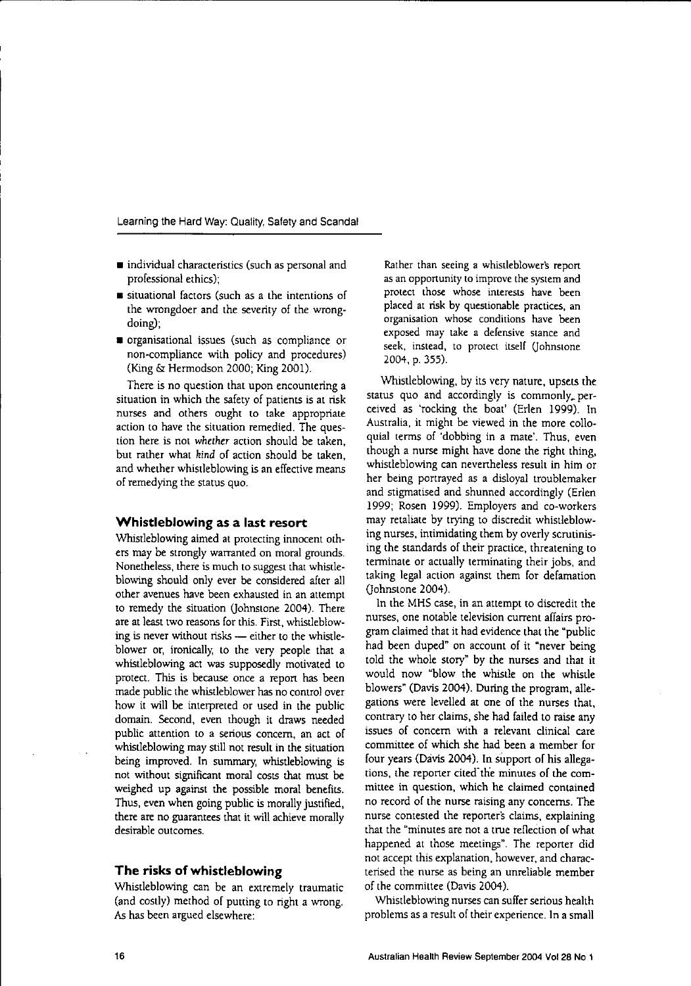- individual characteristics (such as personal and professional ethics);
- **•** situational **factors (such as a the intentions of** the wrongdoer and the severity of the wrongdoing);
- organisational issues (such as compliance or non-compliance with policy and procedures) (King & Hermodson 2000; King 2001).

There is no question that upon encountering a situation in which the safety of patients is at risk nurses and others ought to take appropriate action to have the situation remedied. The question here is not whether action should be taken, but rather what *kind* of action should be taken, and whether whistleblowing is an effective means of remedying the status quo.

### **Whistleblowing** as a **last resort**

Whistleblowing aimed at protecting innocent others may be strongly warranted on moral grounds. Nonetheless, there is much to suggest that whistleblowing should only ever be considered after all other avenues have been exhausted in an attempt to remedy the situation (johnstone 2004). There are at least two reasons for this. First, whistleblowing is never without risks - either to the whistleblower or, ironically, to the very people that a whistleblowing act was supposedly motivated to protect. This is because once a repon has been made public the whistleblower has no control over how it will be interpreted or used in the public domain. Second, even though it draws needed **public attention to a serious concern, an act of** whistleblowing may still not result in the situation being improved. In summary, whistleblowing is not without Significant moral costs that must be weighed up against the possible moral benefits. Thus, even when going public is morally justified, there are no guarantees that it will achieve morally desirable outcomes.

## **The risks of whistleblowing**

Whistleblowing can be an extremely traumatic (and costly) method of putting to right a wrong. As has been argued elsewhere:

**Rather than seeing a** whistleblowers **repon asan opportunity to improve thesystemand protect those whose interests have been** placed at risk by questionable practices, an **organisation whose conditions have been exposed may take a defensive stance and seek, instead, to protect itself** (Iohnstone 2004, p. 355).

Whistleblowing, by its very nature, upsets the status quo and accordingly is commonly. perceived as 'rocking the boat' (Erlen 1999). In Australia, it might be viewed in the more colloquial terms of 'dobbing in a mate'. Thus, even though a nurse might have done the right thing, whistleblowing can nevenheless result in him or her being portrayed as a disloyal troublemaker and stigmatised and shunned accordingly (Erlen 1999; Rosen 1999). Employers and eo-workers may retaliate by trying to discredit whistleblowing nurses, intimidating them by overly scrutinising the standards of their practice, threatening to terminate or actually terminating their jobs, and taking legal action against them for defamation (Iohnstone 2004).

In the MHS case, in an attempt to discredit the nurses, one notable television current affairs program claimed that it had evidence that the "public had been duped" on account of it "never being told the whole story" by the nurses and that it would now "blow the whistle on the whistle blowers" (Davis 2004). During the program, allegations were levelled at one of the nurses that, contrary to her claims, she had failed to raise any **issues of concern with a relevant clinical care** committee of which she had been a member for four years (Davis 2004). In support of his allegations, the reponer cited-the minutes of the com**mittee in question, which he claimed contained** no record of the nurse raising any concerns. The nurse contested the reporters claims, explaining **that the "minutes are not a true reflection of what** happened at those meetings". The reporter did not accept this explanation, however, and characterised the nurse as being an unreliable member of the committee (Davis 2004).

Whistleblowing nurses can suffer serious health problems as a result of their experience. In a small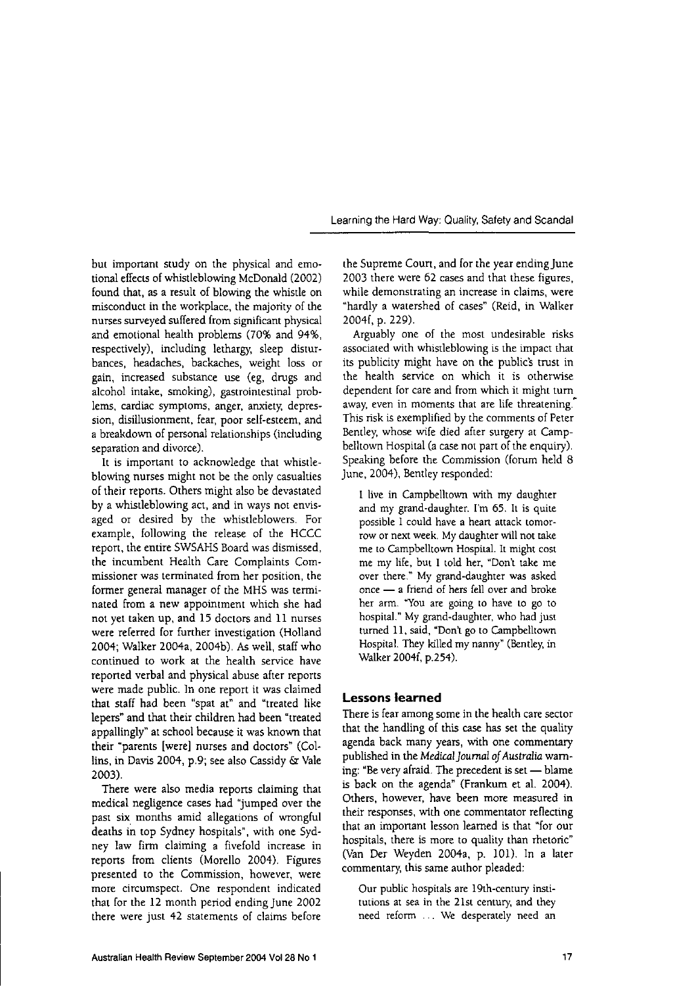but important study on the physical and emotional effects of whistleblowing McDonald (2002) found that, as a result of blowing the whistle on misconduct in the workplace, the majority of the nurses surveyed suffered from significant physical and emotional health problems (70% and 94%, respectively), including lethargy, sleep disturbances, headaches, backaches, weight loss or gain, increased substance use (eg, drugs and alcohol intake, smoking), gastrointestinal problems, cardiac symptoms, anger, anxiety, depression, disillusionment, fear, poor self-esteem, and a breakdown of personal relationships (including separation and divorce).

It is important to acknowledge that whistleblowing nurses might not be the only casualties of their reports. Others might also be devastated by a whistleblowing act, and in ways not envisaged or desired by the whistleblowers. For example, following the release of the HCCC report, the entire SWSAHS Board was dismissed, the incumbent Health Care Complaints Com**missioner was terminated from her position, the** former general manager of the MHS was terminated from a new appointment which she had not yet taken up, and 15 doctors and 11 nurses were referred for further investigation (Holland 2004; Walker 2004a, 2004b). As well, staff who continued to work at the health service have reported verbal and physical abuse after reports were made public. In one report it was claimed that staff had been "spat at" and "treated like lepers" and that their children had been "treated appallingly" at school because it was known that their "parents [were] nurses and doctors" (Collins, in Davis 2004, p.9; see also Cassidy &: Vale 2003).

There were also media reports claiming that medical negligence cases had "jumped over the past six months amid allegations of wrongful deaths in top Sydney hospitals", with one Sydney law firm claiming a fivefold increase in reports from clients (Morello 2004). Figures **presented to the Commission, however, were more circumspect. One respondent indicated** that for the 12 month period ending June 2002 **there were just 42 statements of claims before**

the Supreme Court, and for the year ending June 2003 there were 62 cases and that these figures, **while demonstrating an increase in claims, were** "hardly a watershed of cases" (Reid, in Walker 2004f, p. 229).

Arguably one of the most undesirable risks associated with whistleblowing is the impact that its publicity might have on the public's trust in the health service on which it is otherwise dependent for care and from which it might turn **away, even in moments that are life threatening."** This risk is exemplified by the comments of Peter Bentley, whose wife died after surgery at Campbelltown Hospital (a case not part of the enquiry), Speaking before the Commission (forum held 8 June, 2004), Bentley responded:

I live in Campbelltown with my daughter and my grand-daughter. I'm 65. It is quite **possible I could have a** heart **attack tomor**row or next week. My daughter will not take me to Campbelltown Hospital. It might cost me my life, but I told her, "Don't take me over there." My grand-daughter was asked **once - a friend of hers fell over and broke her ann. "You are going to have to go to** hospital." My grand-daughter, who had just turned 11, said, "Don't go to Campbelltown Hospital. They killedmy nanny" (Bentley, in Walker 2004f, p.254).

## **Lessons learned**

There is fear among some in the health care sector that the handling of this case has set the quality agenda back many years, with one commentary published in the *Medical Journal of Australia* warning: "Be very afraid. The precedent is set - blame is back on the agenda" (Frankum et aI. 2004). **Others, however, have been more measured in** their responses, with one commentator reflecting that an important lesson learned is that "for our hospitals, there is more to quality than rhetoric" (Van Der Weyden 2004a, p. 101). In a later commentary, this same author pleaded:

Our public hospitals are 19th-century insti**tutions at sea in the 21st century, and they** need reform ... We desperately need an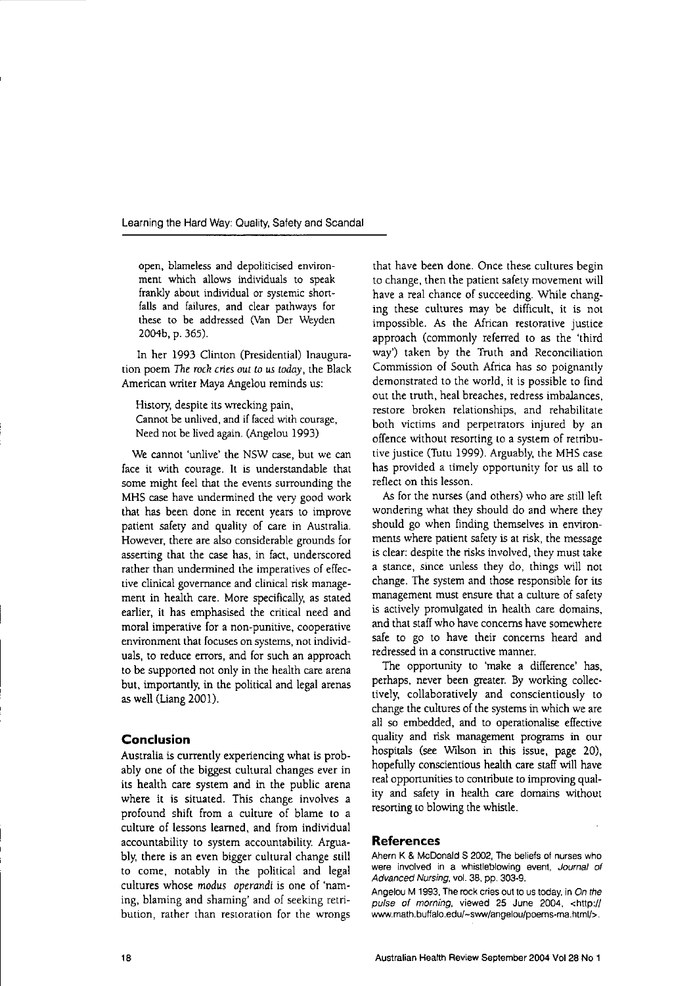**open, blameless and depoliticised environment which allows individuals to speak** frankly about individual or systemic shortfalls and failures, and clear pathways for **these to be addressed (Van Der Weyden** 2004b, p. 365).

In her 1993 Clinton (Presidential) Inauguration poem *The rock* cries *out to* us*today,* the Black American writer MayaAngelou reminds us:

History, despite its wrecking pain, **Cannot be unlived, and iffaced with courage,** Need not be lived again. (Angelou 1993)

**We cannot 'unlive' the NSW case, but we can** face it with courage. It is understandable that **some might feel that the events surrounding the** MHS case have undermined the very good work that has been done in recent years to improve patient safety and quality of care in Australia. **However, there are also considerable grounds for** asserting that the case has, in fact, underscored rather than undermined the imperatives of effec**tive clinical governance and clinical risk manage**ment in health care. More specifically, as stated earlier, it has emphasised the critical need and **moral imperative for a non-punitive, cooperative environment that focuses on systems, not individ**uals, to reduce errors, and for such an approach to be supported not only in the health care arena but, importantly, in the political and legal arenas as well (Liang 2001).

# **Conclusion**

Australia is currently experiencing what is probably one of the biggest cultural changes ever in its health care system and in the public arena where it is situated. This change involves a profound shift from a culture of blame to a culture of lessons learned, and from individual accountability to system accountability. Arguably, there is an even bigger cultural change still to come, notably in the political and legal cultures whose *modus* operandi is one of 'naming, blaming and shaming' and of seeking retri**bution, rather than restoration for the wrongs**

that have been done. Once these cultures begin to change, then the patient safety movement will have a real chance of succeeding. While changing these cultures may be difficult, it is not impossible. As the African restorative justice approach (commonly referred to as the 'third way') taken by the Truth and Reconciliation Commission of South Africa has so poignantly demonstrated to the world, it is possible to find out the truth, heal breaches, redress imbalances, restore broken relationships, and rehabilitate both victims and perpetrators injured by an offence without resorting to a system of retributive justice (Tutu 1999). Arguably, the MHS case has provided a timely opportunity for us all to **reflect on this lesson.**

As for the nurses (and others) who are still left wondering what they should do and where they should go when finding themselves in environments where patient safety is at risk, the message is clear: despite the risks involved, they must take a stance, since unless they do, things will not change. The system and those responsible for its management must ensure that a culture of safety is actively promulgated in health care domains, and that staff who have concerns have somewhere safe to go to have their concerns heard and **redressed in a constructive manner.**

The opportunity to 'make a difference' has, perhaps, never been greater. By working collectively, collaboratively and conscientiously to change the cultures of the systemsin which we are all so embedded, and to operationalise effective quality and risk management programs in our hospitals (see Wilson in this issue, page 20), hopefully conscientious health care staff will have real opportunities to contribute to improving quality and safety in health care domains without resorting to blowing the whistle.

#### **References**

**Ahern K & McDonald S 2002, The beliefs of nurses who were involved in a whistleblowing event, Journal of Advanced Nursing, vol. 38, pp. 303-9.**

**Angelou M 1993,Therock cries outtoustoday, in***On the* **pulse of morning, viewed 25 June 2004, <http:// www.math.buffalo.edu/-sww/angelou/poems-ma.html/>.**